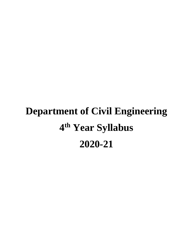# **Department of Civil Engineering 4 th Year Syllabus 2020-21**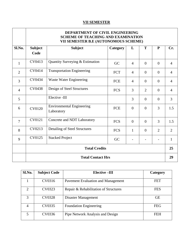### **VII SEMESTER**

|                | DEPARTMENT OF CIVIL ENGINEERING<br><b>SCHEME OF TEACHING AND EXAMINATION</b><br>VII SEMESTER B.E (AUTONOMOUS SCHEME) |                                                |            |                |                |                |                |
|----------------|----------------------------------------------------------------------------------------------------------------------|------------------------------------------------|------------|----------------|----------------|----------------|----------------|
| Sl.No.         | <b>Subject</b><br>Code                                                                                               | <b>Subject</b>                                 | Category   | L              | T              | ${\bf P}$      | Cr.            |
| 1              | CV0413                                                                                                               | Quantity Surveying & Estimation                | GC         | 4              | $\theta$       | $\Omega$       | $\overline{4}$ |
| $\overline{2}$ | CV0414                                                                                                               | <b>Transportation Engineering</b>              | <b>FCT</b> | $\overline{4}$ | $\overline{0}$ | $\theta$       | $\overline{4}$ |
| 3              | CV0434                                                                                                               | Waste Water Engineering                        | FCE        | $\overline{4}$ | $\overline{0}$ | $\theta$       | $\overline{4}$ |
| $\overline{4}$ | CV0438                                                                                                               | Design of Steel Structures                     | <b>FCS</b> | 3              | $\overline{2}$ | $\theta$       | $\overline{4}$ |
| 5              |                                                                                                                      | Elective -III                                  |            | 3              | $\overline{0}$ | $\overline{0}$ | 3              |
| 6              | <b>CV0120</b>                                                                                                        | <b>Environmental Engineering</b><br>Laboratory | <b>FCE</b> | $\overline{0}$ | $\Omega$       | 3              | 1.5            |
| $\overline{7}$ | <b>CV0121</b>                                                                                                        | Concrete and NDT Laboratory                    | <b>FCS</b> | $\Omega$       | $\Omega$       | 3              | 1.5            |
| 8              | CV0213                                                                                                               | Detailing of Steel Structures                  | <b>FCS</b> | $\mathbf{1}$   | $\Omega$       | $\overline{2}$ | $\overline{2}$ |
| 9              | CV0125                                                                                                               | <b>Stacked Project</b>                         | GC         |                |                |                | $\mathbf{1}$   |
|                | <b>Total Credits</b>                                                                                                 |                                                |            |                | 25             |                |                |
|                |                                                                                                                      | <b>Total Contact Hrs</b>                       |            |                |                |                | 29             |

| Sl.No.                      | <b>Subject Code</b> | <b>Elective-III</b>                   | Category   |
|-----------------------------|---------------------|---------------------------------------|------------|
|                             |                     |                                       |            |
|                             | CV0316              | Pavement Evaluation and Management    | <b>FET</b> |
| $\mathcal{D}_{\mathcal{L}}$ | CV0323              | Repair & Rehabilitation of Structures | <b>FES</b> |
| 3                           | CV0328              | Disaster Management                   | <b>GE</b>  |
| 4                           | CV0335              | <b>Foundation Engineering</b>         | <b>FEG</b> |
| 5                           | CV0336              | Pipe Network Analysis and Design      | FEH        |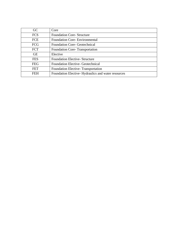| GC.        | Core                                               |
|------------|----------------------------------------------------|
| <b>FCS</b> | <b>Foundation Core-Structure</b>                   |
| <b>FCE</b> | <b>Foundation Core-Environmental</b>               |
| <b>FCG</b> | <b>Foundation Core- Geotechnical</b>               |
| <b>FCT</b> | Foundation Core-Transportation                     |
| <b>GE</b>  | Elective                                           |
| <b>FES</b> | <b>Foundation Elective-Structure</b>               |
| <b>FEG</b> | <b>Foundation Elective- Geotechnical</b>           |
| <b>FET</b> | Foundation Elective-Transportation                 |
| FEH        | Foundation Elective-Hydraulics and water resources |
|            |                                                    |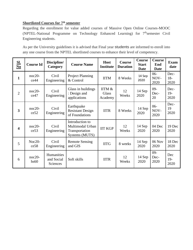# **Shortlisted Courses for 7th semester**

Regarding the enrollment for value added courses of Massive Open Online Courses-MOOC (NPTEL-National Programme on Technology Enhanced Learning) for 7<sup>th</sup>semester Civil Engineering students.

As per the University guidelines it is advised that Final year students are informed to enroll into any one course from the NPTEL shortlisted courses to enhance their level of competency.

| $\frac{\text{SI.}}{\text{No}}$ | <b>Course Id</b> | Discipline/<br>Category              | <b>Course Name</b>                                                      | <b>Host</b><br><b>Institute</b>   | <b>Course</b><br><b>Duration</b> | <b>Course</b><br><b>Start</b><br>Date | <b>Course</b><br>End<br><b>Date</b> | <b>Exam</b><br>date    |
|--------------------------------|------------------|--------------------------------------|-------------------------------------------------------------------------|-----------------------------------|----------------------------------|---------------------------------------|-------------------------------------|------------------------|
| $\mathbf{1}$                   | $noc20-$<br>ce44 | Civil<br>Engineering                 | <b>Project Planning</b><br>& Control                                    | <b>IITM</b>                       | 8 Weeks                          | 14 Sep<br>2020                        | $06 -$<br>NOV-<br>2020              | Dec-<br>$18 -$<br>2020 |
| $\overline{2}$                 | $noc20-$<br>ce47 | Civil<br>Engineering                 | Glass in buildings<br>: Design and<br>applications                      | IITM &<br><b>Glass</b><br>Academy | 12<br>Weeks                      | $14$ Sep<br>2020                      | $09 -$<br>Dec-<br>20                | Dec-<br>$19-$<br>2020  |
| $\overline{3}$                 | $noc20-$<br>ce52 | Civil<br>Engineering                 | Earthquake<br><b>Resistant Design</b><br>of Foundations                 | <b>IITR</b>                       | 8 Weeks                          | 14 Sep<br>2020                        | $06 -$<br>NOV-<br>2020              | Dec-<br>19<br>2020     |
| $\overline{\mathbf{4}}$        | $noc20-$<br>ce53 | Civil<br>Engineering                 | Introduction to<br>Multimodal Urban<br>Transportation<br>Systems (MUTS) | <b>IIT KGP</b>                    | 12<br>Weeks                      | 14 Sep<br>2020                        | 04 Dec<br>2020                      | 19 Dec<br>2020         |
| 5                              | $Noc20-$<br>ce58 | Civil<br>Engineering                 | <b>Remote Sensing</b><br>and GIS                                        | <b>IITG</b>                       | 8 weeks                          | $14$ Sep<br>2020                      | $06$ Nov<br>2020                    | 18 Dec<br>2020         |
| 6                              | $noc20-$<br>hs60 | Humanities<br>and Social<br>Sciences | Soft skills                                                             | <b>IITR</b>                       | 12<br>Weeks                      | 14 Sep<br>2020                        | $09 -$<br>Dec-<br>2020              | Dec<br>$19-$<br>2020   |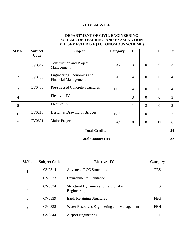## **VIII SEMESTER**

#### **DEPARTMENT OF CIVIL ENGINEERING SCHEME OF TEACHING AND EXAMINATION VIII SEMESTER B.E (AUTONOMOUS SCHEME)**

|                | <u>THE DENTED FER DIE (AU FUNUMUUD) DUITEME!</u> |                                                          |            |                |                |                |                |
|----------------|--------------------------------------------------|----------------------------------------------------------|------------|----------------|----------------|----------------|----------------|
| Sl.No.         | <b>Subject</b><br>Code                           | <b>Subject</b>                                           | Category   | L              | T              | ${\bf P}$      | Cr.            |
| $\mathbf{1}$   | CV0342                                           | <b>Construction and Project</b><br>Management            | GC         | 3              | $\overline{0}$ | $\overline{0}$ | 3              |
| $\overline{2}$ | CV0435                                           | Engineering Economics and<br><b>Financial Management</b> | GC         | $\overline{4}$ | $\overline{0}$ | $\overline{0}$ | $\overline{4}$ |
| 3              | CV0436                                           | <b>Pre-stressed Concrete Structures</b>                  | <b>FCS</b> | $\overline{4}$ | $\overline{0}$ | $\Omega$       | $\overline{4}$ |
| $\overline{4}$ |                                                  | Elective-IV                                              |            | 3              | $\overline{0}$ | $\overline{0}$ | 3              |
| 5              |                                                  | Elective -V                                              |            | $\mathbf{1}$   | $\overline{2}$ | $\overline{0}$ | $\overline{2}$ |
| 6              | CV0210                                           | Design & Drawing of Bridges                              | <b>FCS</b> | $\mathbf{1}$   | $\overline{0}$ | $\overline{2}$ | 2              |
| $\overline{7}$ | CV0601                                           | Major Project                                            | GC         | $\overline{0}$ | $\overline{0}$ | 12             | 6              |
|                | <b>Total Credits</b>                             |                                                          |            |                |                | 24             |                |
|                | <b>Total Contact Hrs</b>                         |                                                          |            |                |                | 32             |                |

| Sl.No.         | <b>Subject Code</b> | Elective -IV                                             | Category   |
|----------------|---------------------|----------------------------------------------------------|------------|
|                | CV0314              | <b>Advanced RCC Structures</b>                           | <b>FES</b> |
| $\overline{2}$ | CV0333              | <b>Environmental Sanitation</b>                          | <b>FEE</b> |
| 3              | CV0334              | <b>Structural Dynamics and Earthquake</b><br>Engineering | <b>FES</b> |
| 4              | CV0339              | <b>Earth Retaining Structures</b>                        | <b>FEG</b> |
| 5              | CV0338              | Water Resources Engineering and Management               | <b>FEH</b> |
| 6              | CV0344              | <b>Airport Engineering</b>                               | <b>FET</b> |